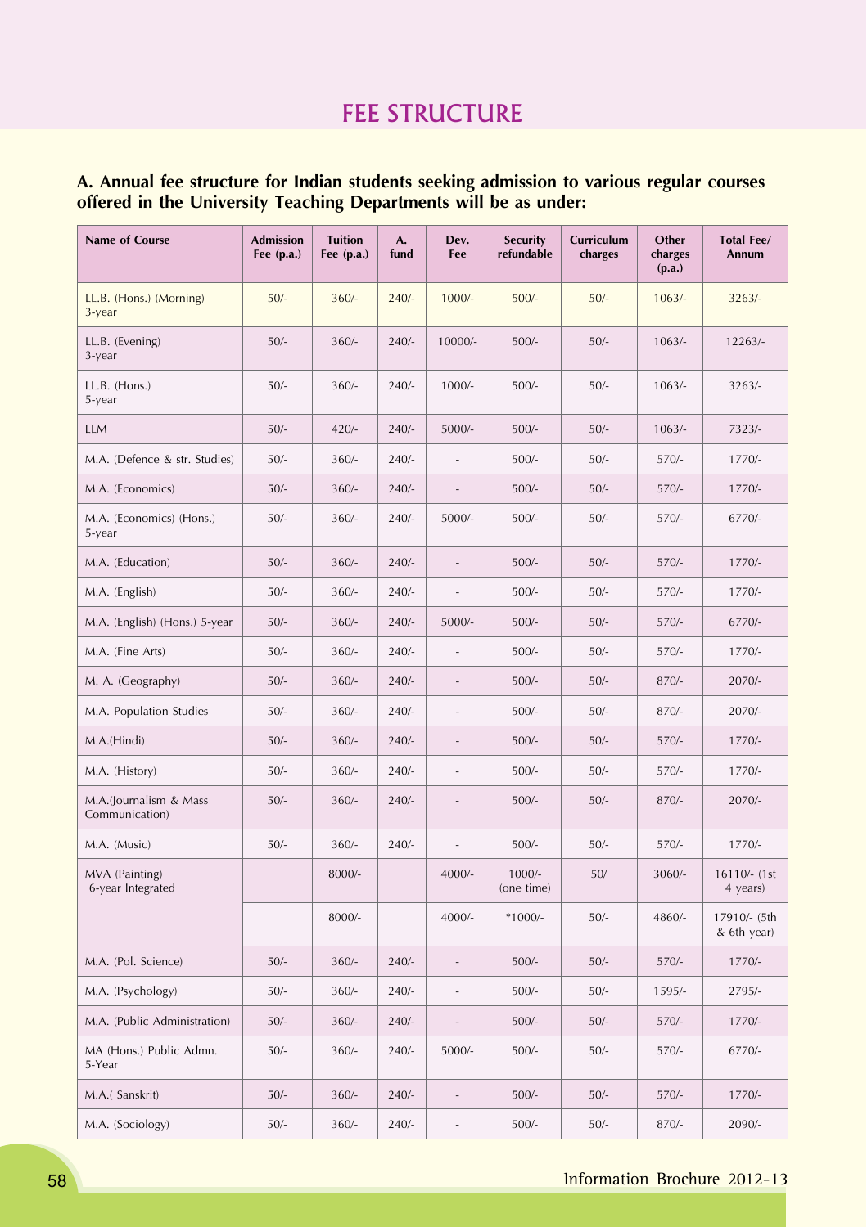# FEE STRUCTURE

# **A. Annual fee structure for Indian students seeking admission to various regular courses offered in the University Teaching Departments will be as under:**

| Name of Course                           | <b>Admission</b><br>Fee (p.a.) | <b>Tuition</b><br>Fee (p.a.) | A.<br>fund | Dev.<br>Fee              | <b>Security</b><br>refundable | Curriculum<br>charges | Other<br>charges<br>(p.a.) | <b>Total Fee/</b><br>Annum  |
|------------------------------------------|--------------------------------|------------------------------|------------|--------------------------|-------------------------------|-----------------------|----------------------------|-----------------------------|
| LL.B. (Hons.) (Morning)<br>3-year        | $50/-$                         | $360/-$                      | $240/-$    | $1000/-$                 | $500/-$                       | $50/-$                | $1063/-$                   | $3263/-$                    |
| LL.B. (Evening)<br>3-year                | $50/-$                         | $360/-$                      | $240/-$    | $10000/-$                | $500/-$                       | $50/-$                | $1063/-$                   | 12263/-                     |
| $LL.B.$ (Hons.)<br>5-year                | $50/-$                         | $360/-$                      | $240/-$    | $1000/-$                 | $500/-$                       | $50/-$                | $1063/-$                   | $3263/-$                    |
| LLM                                      | $50/-$                         | $420/-$                      | $240/-$    | 5000/-                   | $500/-$                       | $50/-$                | $1063/-$                   | $7323/-$                    |
| M.A. (Defence & str. Studies)            | $50/-$                         | $360/-$                      | $240/-$    |                          | $500/-$                       | $50/-$                | $570/-$                    | $1770/-$                    |
| M.A. (Economics)                         | $50/-$                         | $360/-$                      | $240/-$    |                          | $500/-$                       | $50/-$                | $570/-$                    | $1770/-$                    |
| M.A. (Economics) (Hons.)<br>5-year       | $50/-$                         | $360/-$                      | $240/-$    | 5000/-                   | $500/-$                       | $50/-$                | $570/-$                    | 6770/-                      |
| M.A. (Education)                         | $50/-$                         | $360/-$                      | $240/-$    |                          | $500/-$                       | $50/-$                | $570/-$                    | 1770/-                      |
| M.A. (English)                           | $50/-$                         | $360/-$                      | $240/-$    |                          | $500/-$                       | $50/-$                | $570/-$                    | $1770/-$                    |
| M.A. (English) (Hons.) 5-year            | $50/-$                         | $360/-$                      | $240/-$    | 5000/-                   | $500/-$                       | $50/-$                | $570/-$                    | 6770/-                      |
| M.A. (Fine Arts)                         | $50/-$                         | $360/-$                      | $240/-$    |                          | $500/-$                       | $50/-$                | $570/-$                    | $1770/-$                    |
| M. A. (Geography)                        | $50/-$                         | $360/-$                      | $240/-$    | $\overline{\phantom{m}}$ | $500/-$                       | $50/-$                | $870/-$                    | $2070/-$                    |
| M.A. Population Studies                  | $50/-$                         | $360/-$                      | $240/-$    |                          | $500/-$                       | $50/-$                | $870/-$                    | $2070/-$                    |
| M.A.(Hindi)                              | $50/-$                         | $360/-$                      | $240/-$    |                          | $500/-$                       | $50/-$                | $570/-$                    | $1770/-$                    |
| M.A. (History)                           | $50/-$                         | $360/-$                      | $240/-$    |                          | $500/-$                       | $50/-$                | $570/-$                    | $1770/-$                    |
| M.A.(Journalism & Mass<br>Communication) | $50/-$                         | $360/-$                      | $240/-$    |                          | $500/-$                       | $50/-$                | $870/-$                    | $2070/-$                    |
| M.A. (Music)                             | $50/-$                         | $360/-$                      | $240/-$    |                          | $500/-$                       | $50/-$                | $570/-$                    | $1770/-$                    |
| MVA (Painting)<br>6-year Integrated      |                                | 8000/-                       |            | $4000/-$                 | $1000/-$<br>(one time)        | $50/$                 | 3060/-                     | 16110/- (1st<br>4 years)    |
|                                          |                                | 8000/-                       |            | $4000/-$                 | $*1000/-$                     | $50/-$                | 4860/-                     | 17910/- (5th<br>& 6th year) |
| M.A. (Pol. Science)                      | $50/-$                         | $360/-$                      | $240/-$    |                          | $500/-$                       | $50/-$                | $570/-$                    | $1770/-$                    |
| M.A. (Psychology)                        | $50/-$                         | $360/-$                      | $240/-$    |                          | $500/-$                       | $50/-$                | 1595/-                     | 2795/-                      |
| M.A. (Public Administration)             | $50/-$                         | $360/-$                      | $240/-$    |                          | $500/-$                       | $50/-$                | $570/-$                    | $1770/-$                    |
| MA (Hons.) Public Admn.<br>5-Year        | $50/-$                         | $360/-$                      | $240/-$    | $5000/-$                 | $500/-$                       | $50/-$                | $570/-$                    | 6770/-                      |
| M.A.(Sanskrit)                           | $50/-$                         | $360/-$                      | $240/-$    |                          | $500/-$                       | $50/-$                | $570/-$                    | $1770/-$                    |
| M.A. (Sociology)                         | $50/-$                         | $360/-$                      | $240/-$    | $\qquad \qquad -$        | $500/-$                       | $50/-$                | 870/-                      | 2090/-                      |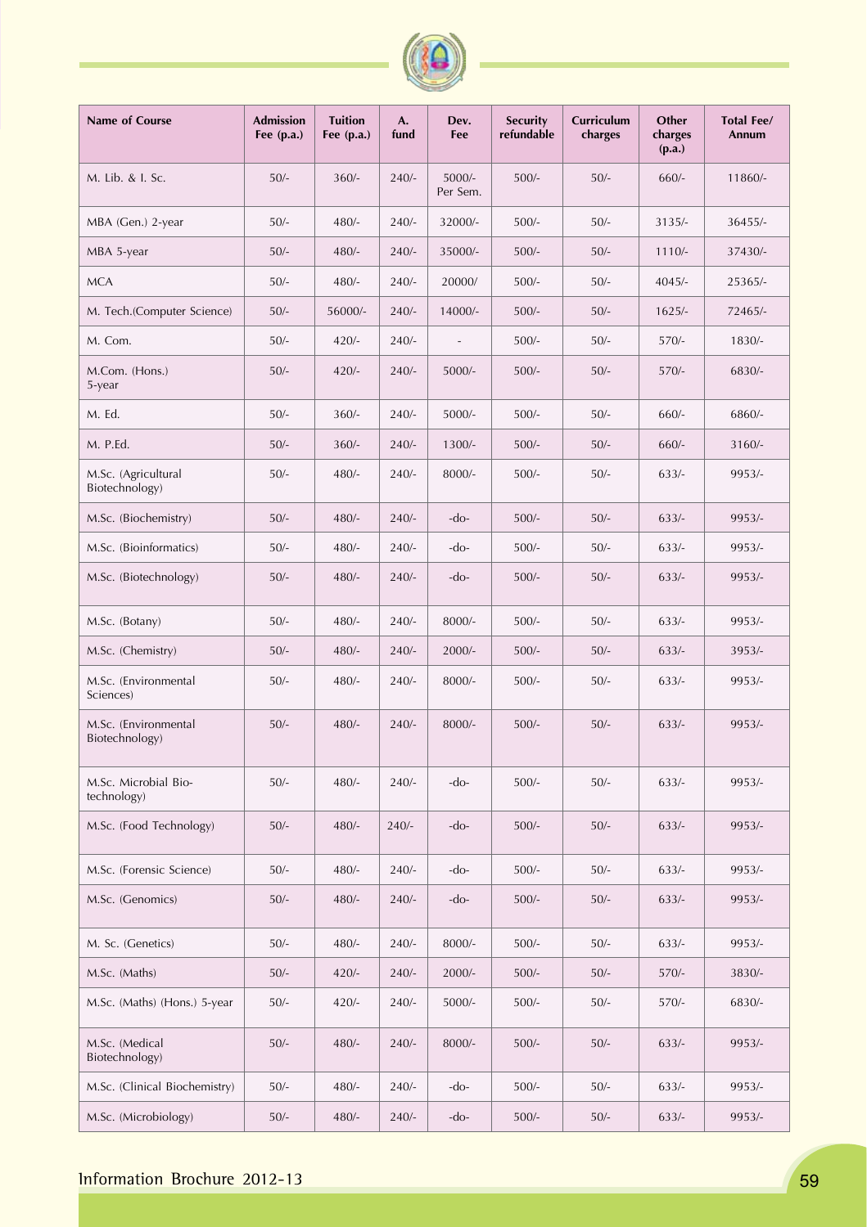| Name of Course                         | <b>Admission</b><br>Fee $(p.a.)$ | <b>Tuition</b><br>Fee $(p.a.)$ | A.<br>fund | Dev.<br>Fee          | <b>Security</b><br>refundable | Curriculum<br>charges | Other<br>charges<br>(p.a.) | Total Fee/<br>Annum |
|----------------------------------------|----------------------------------|--------------------------------|------------|----------------------|-------------------------------|-----------------------|----------------------------|---------------------|
| M. Lib. & I. Sc.                       | $50/-$                           | $360/-$                        | $240/-$    | $5000/-$<br>Per Sem. | $500/-$                       | $50/-$                | $660/-$                    | 11860/-             |
| MBA (Gen.) 2-year                      | $50/-$                           | $480/-$                        | $240/-$    | 32000/-              | $500/-$                       | $50/-$                | $3135/-$                   | $36455/-$           |
| MBA 5-year                             | $50/-$                           | $480/-$                        | $240/-$    | 35000/-              | $500/-$                       | $50/-$                | $1110/-$                   | 37430/-             |
| <b>MCA</b>                             | $50/-$                           | $480/-$                        | $240/-$    | 20000/               | $500/-$                       | $50/-$                | $4045/-$                   | 25365/-             |
| M. Tech.(Computer Science)             | $50/-$                           | 56000/-                        | $240/-$    | 14000/-              | $500/-$                       | $50/-$                | $1625/-$                   | 72465/-             |
| M. Com.                                | $50/-$                           | $420/-$                        | $240/-$    |                      | $500/-$                       | $50/-$                | $570/-$                    | $1830/-$            |
| M.Com. (Hons.)<br>5-year               | $50/-$                           | $420/-$                        | $240/-$    | $5000/-$             | $500/-$                       | $50/-$                | $570/-$                    | 6830/-              |
| M. Ed.                                 | $50/-$                           | $360/-$                        | $240/-$    | $5000/-$             | $500/-$                       | $50/-$                | $660/-$                    | 6860/-              |
| M. P.Ed.                               | $50/-$                           | $360/-$                        | $240/-$    | $1300/-$             | $500/-$                       | $50/-$                | $660/-$                    | $3160/-$            |
| M.Sc. (Agricultural<br>Biotechnology)  | $50/-$                           | $480/-$                        | $240/-$    | 8000/-               | $500/-$                       | $50/-$                | $633/-$                    | 9953/-              |
| M.Sc. (Biochemistry)                   | $50/-$                           | $480/-$                        | $240/-$    | $-do-$               | $500/-$                       | $50/-$                | $633/-$                    | 9953/-              |
| M.Sc. (Bioinformatics)                 | $50/-$                           | $480/-$                        | $240/-$    | $-do-$               | $500/-$                       | $50/-$                | $633/-$                    | 9953/-              |
| M.Sc. (Biotechnology)                  | $50/-$                           | $480/-$                        | $240/-$    | $-do-$               | $500/-$                       | $50/-$                | $633/-$                    | 9953/-              |
| M.Sc. (Botany)                         | $50/-$                           | $480/-$                        | $240/-$    | 8000/-               | $500/-$                       | $50/-$                | $633/-$                    | 9953/-              |
| M.Sc. (Chemistry)                      | $50/-$                           | $480/-$                        | $240/-$    | $2000/-$             | $500/-$                       | $50/-$                | $633/-$                    | 3953/               |
| M.Sc. (Environmental<br>Sciences)      | $50/-$                           | $480/-$                        | $240/-$    | 8000/-               | $500/-$                       | $50/-$                | $633/-$                    | 9953/-              |
| M.Sc. (Environmental<br>Biotechnology) | $50/-$                           | $480/-$                        | $240/-$    | 8000/-               | $500/-$                       | $50/-$                | $633/-$                    | 9953/-              |
| M.Sc. Microbial Bio-<br>technology)    | $50/-$                           | $480/-$                        | $240/-$    | -do-                 | $500/-$                       | $50/-$                | $633/-$                    | 9953/-              |
| M.Sc. (Food Technology)                | $50/-$                           | $480/-$                        | $240/-$    | -do-                 | $500/-$                       | $50/-$                | $633/-$                    | 9953/-              |
| M.Sc. (Forensic Science)               | $50/-$                           | $480/-$                        | $240/-$    | -do-                 | $500/-$                       | $50/-$                | $633/-$                    | 9953/-              |
| M.Sc. (Genomics)                       | $50/-$                           | $480/-$                        | $240/-$    | $-do-$               | $500/-$                       | $50/-$                | $633/-$                    | 9953/-              |
| M. Sc. (Genetics)                      | $50/-$                           | $480/-$                        | $240/-$    | $8000/-$             | $500/-$                       | $50/-$                | $633/-$                    | 9953/-              |
| M.Sc. (Maths)                          | $50/-$                           | $420/-$                        | $240/-$    | $2000/-$             | $500/-$                       | $50/-$                | $570/-$                    | 3830/-              |
| M.Sc. (Maths) (Hons.) 5-year           | $50/-$                           | $420/-$                        | $240/-$    | $5000/-$             | $500/-$                       | $50/-$                | $570/-$                    | 6830/-              |
| M.Sc. (Medical<br>Biotechnology)       | $50/-$                           | $480/-$                        | $240/-$    | 8000/-               | $500/-$                       | $50/-$                | $633/-$                    | 9953/-              |
| M.Sc. (Clinical Biochemistry)          | $50/-$                           | $480/-$                        | $240/-$    | -do-                 | $500/-$                       | $50/-$                | $633/-$                    | 9953/-              |
| M.Sc. (Microbiology)                   | $50/-$                           | $480/-$                        | $240/-$    | $-do-$               | $500/-$                       | $50/-$                | $633/-$                    | 9953/-              |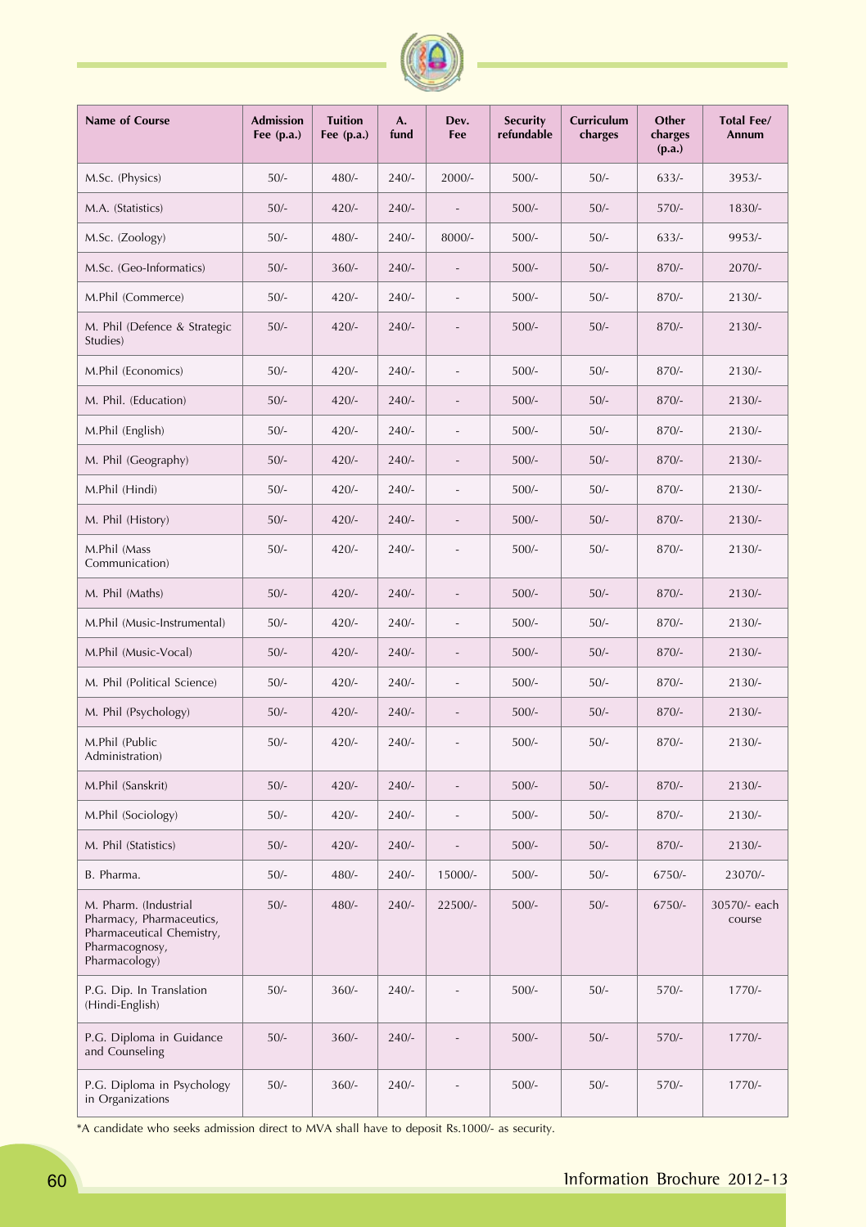| Name of Course                                                                                                    | <b>Admission</b><br>Fee $(p.a.)$ | <b>Tuition</b><br>Fee $(p.a.)$ | A.<br>fund | Dev.<br>Fee | <b>Security</b><br>refundable | Curriculum<br>charges | Other<br>charges<br>(p.a.) | <b>Total Fee/</b><br>Annum |
|-------------------------------------------------------------------------------------------------------------------|----------------------------------|--------------------------------|------------|-------------|-------------------------------|-----------------------|----------------------------|----------------------------|
| M.Sc. (Physics)                                                                                                   | $50/-$                           | $480/-$                        | $240/-$    | $2000/-$    | $500/-$                       | $50/-$                | $633/-$                    | $3953/-$                   |
| M.A. (Statistics)                                                                                                 | $50/-$                           | $420/-$                        | $240/-$    |             | $500/-$                       | $50/-$                | $570/-$                    | $1830/-$                   |
| M.Sc. (Zoology)                                                                                                   | $50/-$                           | $480/-$                        | $240/-$    | 8000/-      | $500/-$                       | $50/-$                | $633/-$                    | 9953/-                     |
| M.Sc. (Geo-Informatics)                                                                                           | $50/-$                           | $360/-$                        | $240/-$    |             | $500/-$                       | $50/-$                | $870/-$                    | $2070/-$                   |
| M.Phil (Commerce)                                                                                                 | $50/-$                           | $420/-$                        | $240/-$    |             | $500/-$                       | $50/-$                | $870/-$                    | $2130/-$                   |
| M. Phil (Defence & Strategic<br>Studies)                                                                          | $50/-$                           | $420/-$                        | $240/-$    |             | $500/-$                       | $50/-$                | $870/-$                    | $2130/-$                   |
| M.Phil (Economics)                                                                                                | $50/-$                           | $420/-$                        | $240/-$    |             | $500/-$                       | $50/-$                | $870/-$                    | $2130/-$                   |
| M. Phil. (Education)                                                                                              | $50/-$                           | $420/-$                        | $240/-$    |             | $500/-$                       | $50/-$                | $870/-$                    | $2130/-$                   |
| M.Phil (English)                                                                                                  | $50/-$                           | $420/-$                        | $240/-$    |             | $500/-$                       | $50/-$                | $870/-$                    | $2130/-$                   |
| M. Phil (Geography)                                                                                               | $50/-$                           | $420/-$                        | $240/-$    |             | $500/-$                       | $50/-$                | $870/-$                    | $2130/-$                   |
| M.Phil (Hindi)                                                                                                    | $50/-$                           | $420/-$                        | $240/-$    |             | $500/-$                       | $50/-$                | $870/-$                    | $2130/-$                   |
| M. Phil (History)                                                                                                 | $50/-$                           | $420/-$                        | $240/-$    |             | $500/-$                       | $50/-$                | $870/-$                    | $2130/-$                   |
| M.Phil (Mass<br>Communication)                                                                                    | $50/-$                           | $420/-$                        | $240/-$    |             | $500/-$                       | $50/-$                | $870/-$                    | $2130/-$                   |
| M. Phil (Maths)                                                                                                   | $50/-$                           | $420/-$                        | $240/-$    |             | $500/-$                       | $50/-$                | $870/-$                    | $2130/-$                   |
| M.Phil (Music-Instrumental)                                                                                       | $50/-$                           | $420/-$                        | $240/-$    |             | $500/-$                       | $50/-$                | $870/-$                    | $2130/-$                   |
| M.Phil (Music-Vocal)                                                                                              | $50/-$                           | $420/-$                        | $240/-$    |             | $500/-$                       | $50/-$                | $870/-$                    | $2130/-$                   |
| M. Phil (Political Science)                                                                                       | $50/-$                           | $420/-$                        | $240/-$    | $\bar{ }$   | $500/-$                       | $50/-$                | $870/-$                    | $2130/-$                   |
| M. Phil (Psychology)                                                                                              | $50/-$                           | $420/-$                        | $240/-$    |             | $500/-$                       | $50/-$                | $870/-$                    | $2130/-$                   |
| M.Phil (Public<br>Administration)                                                                                 | $50/-$                           | $420/-$                        | $240/-$    |             | $500/-$                       | $50/-$                | 870/-                      | $2130/-$                   |
| M.Phil (Sanskrit)                                                                                                 | $50/-$                           | $420/-$                        | $240/-$    |             | $500/-$                       | $50/-$                | $870/-$                    | $2130/-$                   |
| M.Phil (Sociology)                                                                                                | $50/-$                           | $420/-$                        | $240/-$    |             | $500/-$                       | $50/-$                | $870/-$                    | $2130/-$                   |
| M. Phil (Statistics)                                                                                              | $50/-$                           | $420/-$                        | $240/-$    |             | $500/-$                       | $50/-$                | $870/-$                    | $2130/-$                   |
| B. Pharma.                                                                                                        | $50/-$                           | $480/-$                        | $240/-$    | 15000/-     | $500/-$                       | $50/-$                | $6750/-$                   | 23070/-                    |
| M. Pharm. (Industrial<br>Pharmacy, Pharmaceutics,<br>Pharmaceutical Chemistry,<br>Pharmacognosy,<br>Pharmacology) | $50/-$                           | $480/-$                        | $240/-$    | 22500/-     | $500/-$                       | $50/-$                | $6750/-$                   | 30570/- each<br>course     |
| P.G. Dip. In Translation<br>(Hindi-English)                                                                       | $50/-$                           | $360/-$                        | $240/-$    |             | $500/-$                       | $50/-$                | $570/-$                    | $1770/-$                   |
| P.G. Diploma in Guidance<br>and Counseling                                                                        | $50/-$                           | $360/-$                        | $240/-$    |             | $500/-$                       | $50/-$                | $570/-$                    | 1770/-                     |
| P.G. Diploma in Psychology<br>in Organizations                                                                    | $50/-$                           | $360/-$                        | $240/-$    |             | $500/-$                       | $50/-$                | $570/-$                    | $1770/-$                   |

\*A candidate who seeks admission direct to MVA shall have to deposit Rs.1000/- as security.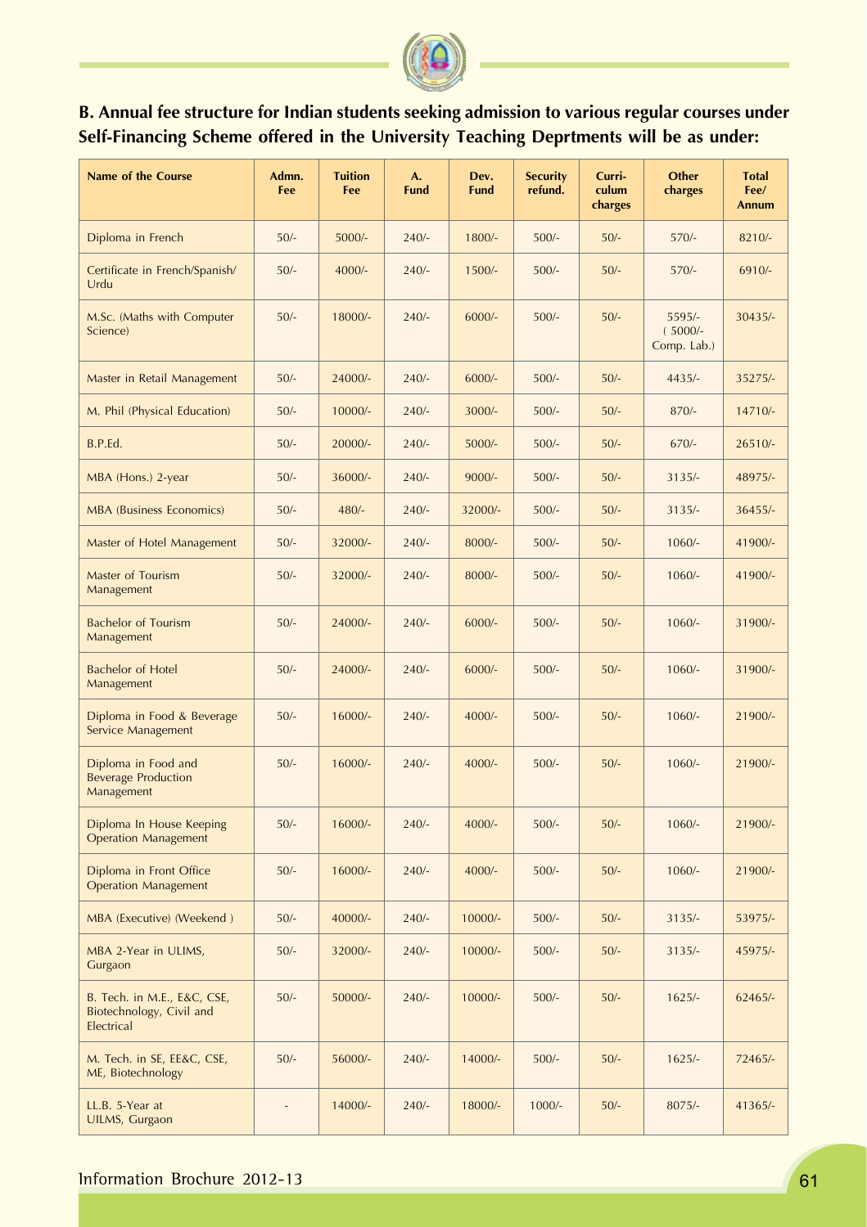

# **B. Annual fee structure for Indian students seeking admission to various regular courses under Self-Financing Scheme offered in the University Teaching Deprtments will be as under:**

| <b>Name of the Course</b>                                             | Admn.<br>Fee | <b>Tuition</b><br>Fee | A.<br><b>Fund</b> | Dev.<br><b>Fund</b> | <b>Security</b><br>refund. | Curri-<br>culum<br>charges | <b>Other</b><br>charges            | <b>Total</b><br>Fee/<br><b>Annum</b> |
|-----------------------------------------------------------------------|--------------|-----------------------|-------------------|---------------------|----------------------------|----------------------------|------------------------------------|--------------------------------------|
| Diploma in French                                                     | $50/-$       | $5000/-$              | $240/-$           | $1800/-$            | $500/-$                    | $50/-$                     | $570/-$                            | $8210/-$                             |
| Certificate in French/Spanish/<br>Urdu                                | $50/-$       | $4000/-$              | $240/-$           | $1500/-$            | $500/-$                    | $50/-$                     | $570/-$                            | $6910/-$                             |
| M.Sc. (Maths with Computer<br>Science)                                | $50/-$       | 18000/-               | $240/-$           | $6000/-$            | $500/-$                    | $50/-$                     | 5595/-<br>$(5000/-$<br>Comp. Lab.) | $30435/-$                            |
| Master in Retail Management                                           | $50/-$       | 24000/-               | $240/-$           | $6000/-$            | $500/-$                    | $50/-$                     | $4435/-$                           | 35275/-                              |
| M. Phil (Physical Education)                                          | $50/-$       | 10000/-               | $240/-$           | $3000/-$            | $500/-$                    | $50/-$                     | $870/-$                            | 14710/-                              |
| B.P.Ed.                                                               | $50/-$       | 20000/-               | $240/-$           | $5000/-$            | $500/-$                    | $50/-$                     | $670/-$                            | $26510/-$                            |
| MBA (Hons.) 2-year                                                    | $50/-$       | 36000/-               | $240/-$           | $9000/-$            | $500/-$                    | $50/-$                     | $3135/-$                           | 48975/-                              |
| <b>MBA (Business Economics)</b>                                       | $50/-$       | $480/-$               | $240/-$           | 32000/-             | $500/-$                    | $50/-$                     | $3135/-$                           | $36455/-$                            |
| Master of Hotel Management                                            | $50/-$       | 32000/-               | $240/-$           | 8000/-              | $500/-$                    | $50/-$                     | $1060/-$                           | 41900/-                              |
| Master of Tourism<br>Management                                       | $50/-$       | 32000/-               | $240/-$           | 8000/-              | $500/-$                    | $50/-$                     | $1060/-$                           | 41900/-                              |
| <b>Bachelor of Tourism</b><br>Management                              | $50/-$       | 24000/-               | $240/-$           | $6000/-$            | $500/-$                    | $50/-$                     | $1060/-$                           | 31900/-                              |
| <b>Bachelor of Hotel</b><br>Management                                | $50/-$       | 24000/-               | $240/-$           | $6000/-$            | $500/-$                    | $50/-$                     | $1060/-$                           | 31900/-                              |
| Diploma in Food & Beverage<br>Service Management                      | $50/-$       | $16000/-$             | $240/-$           | $4000/-$            | $500/-$                    | $50/-$                     | $1060/-$                           | 21900/-                              |
| Diploma in Food and<br><b>Beverage Production</b><br>Management       | $50/-$       | 16000/-               | $240/-$           | $4000/-$            | $500/-$                    | $50/-$                     | $1060/-$                           | 21900/-                              |
| Diploma In House Keeping<br><b>Operation Management</b>               | $50/-$       | 16000/-               | $240/-$           | $4000/-$            | $500/-$                    | $50/-$                     | $1060/-$                           | 21900/-                              |
| Diploma in Front Office<br><b>Operation Management</b>                | $50/-$       | 16000/-               | $240/-$           | $4000/-$            | $500/-$                    | $50/-$                     | $1060/-$                           | 21900/-                              |
| MBA (Executive) (Weekend)                                             | $50/-$       | 40000/-               | $240/-$           | 10000/-             | $500/-$                    | $50/-$                     | $3135/-$                           | 53975/-                              |
| MBA 2-Year in ULIMS,<br>Gurgaon                                       | $50/-$       | 32000/-               | $240/-$           | 10000/-             | $500/-$                    | $50/-$                     | $3135/-$                           | 45975/-                              |
| B. Tech. in M.E., E&C, CSE,<br>Biotechnology, Civil and<br>Electrical | $50/-$       | 50000/-               | $240/-$           | 10000/-             | $500/-$                    | $50/-$                     | $1625/-$                           | $62465/-$                            |
| M. Tech. in SE, EE&C, CSE,<br>ME, Biotechnology                       | $50/-$       | 56000/-               | $240/-$           | 14000/-             | $500/-$                    | $50/-$                     | $1625/-$                           | 72465/-                              |
| LL.B. 5-Year at<br>UILMS, Gurgaon                                     |              | 14000/-               | $240/-$           | 18000/-             | $1000/-$                   | $50/-$                     | $8075/-$                           | 41365/-                              |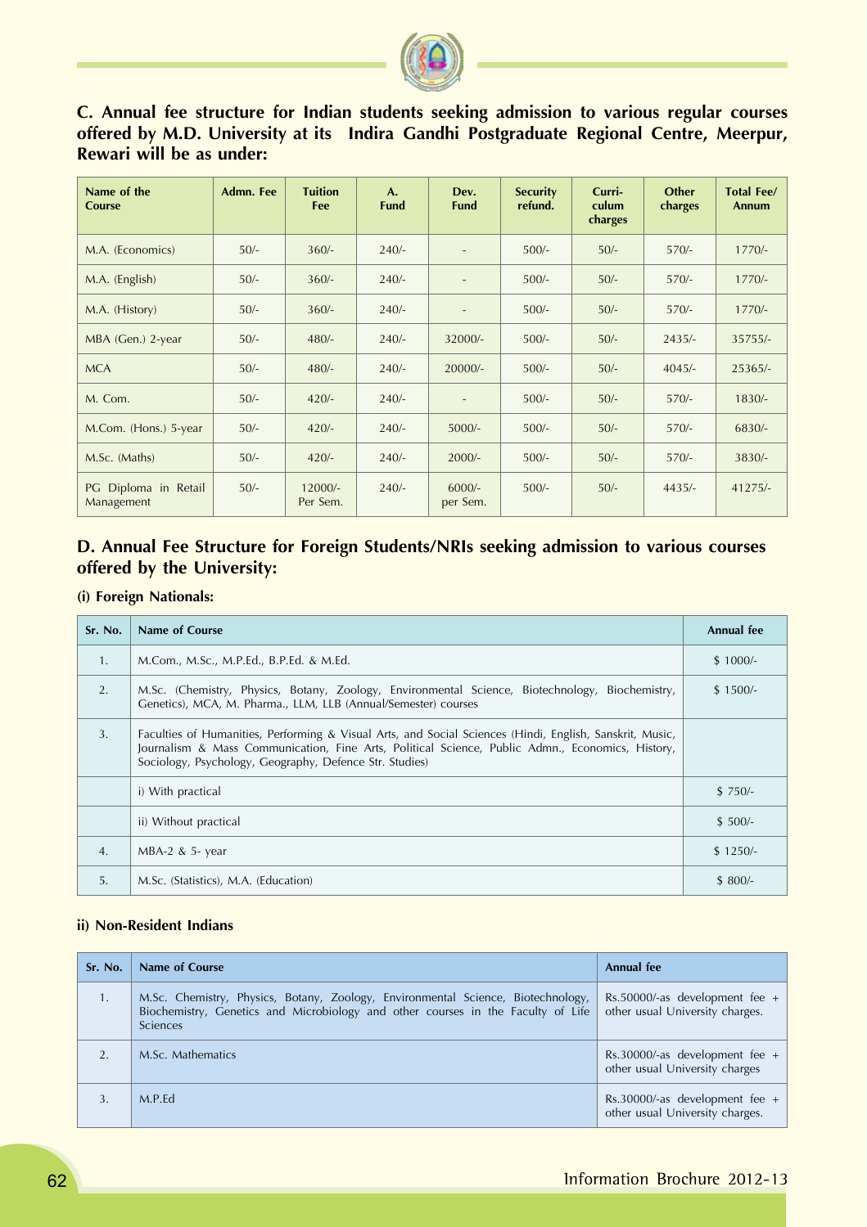

# **C. Annual fee structure for Indian students seeking admission to various regular courses offered by M.D. University at its Indira Gandhi Postgraduate Regional Centre, Meerpur, Rewari will be as under:**

| Name of the<br><b>Course</b>       | <b>Admn. Fee</b> | <b>Tuition</b><br>Fee | A.<br><b>Fund</b> | Dev.<br><b>Fund</b>      | <b>Security</b><br>refund. | Curri-<br>culum<br>charges | <b>Other</b><br>charges | <b>Total Fee/</b><br><b>Annum</b> |
|------------------------------------|------------------|-----------------------|-------------------|--------------------------|----------------------------|----------------------------|-------------------------|-----------------------------------|
| M.A. (Economics)                   | $50/-$           | $360/-$               | $240/-$           | $\overline{\phantom{a}}$ | $500/-$                    | $50/-$                     | $570/-$                 | $1770/-$                          |
| M.A. (English)                     | $50/-$           | $360/-$               | $240/-$           | $\overline{\phantom{a}}$ | $500/-$                    | $50/-$                     | $570/-$                 | $1770/-$                          |
| M.A. (History)                     | $50/-$           | $360/-$               | $240/-$           | $\sim$                   | $500/-$                    | $50/-$                     | $570/-$                 | $1770/-$                          |
| MBA (Gen.) 2-year                  | $50/-$           | $480/-$               | $240/-$           | 32000/-                  | $500/-$                    | $50/-$                     | $2435/-$                | $35755/-$                         |
| <b>MCA</b>                         | $50/-$           | $480/-$               | $240/-$           | $20000/-$                | $500/-$                    | $50/-$                     | $4045/-$                | $25365/-$                         |
| M. Com.                            | $50/-$           | $420/-$               | $240/-$           |                          | $500/-$                    | $50/-$                     | $570/-$                 | $1830/-$                          |
| M.Com. (Hons.) 5-year              | $50/-$           | $420/-$               | $240/-$           | $5000/-$                 | $500/-$                    | $50/-$                     | $570/-$                 | $6830/-$                          |
| M.Sc. (Maths)                      | $50/-$           | $420/-$               | $240/-$           | $2000/-$                 | $500/-$                    | $50/-$                     | $570/-$                 | $3830/-$                          |
| PG Diploma in Retail<br>Management | $50/-$           | $12000/-$<br>Per Sem. | $240/-$           | $6000/-$<br>per Sem.     | $500/-$                    | $50/-$                     | $4435/-$                | $41275/-$                         |

# **D. Annual Fee Structure for Foreign Students/NRIs seeking admission to various courses offered by the University:**

#### **(i) Foreign Nationals:**

| Sr. No.        | Name of Course                                                                                                                                                                                                                                                          | Annual fee |
|----------------|-------------------------------------------------------------------------------------------------------------------------------------------------------------------------------------------------------------------------------------------------------------------------|------------|
| $\mathbf{1}$ . | M.Com., M.Sc., M.P.Ed., B.P.Ed. & M.Ed.                                                                                                                                                                                                                                 | $$1000/-$  |
| 2.             | M.Sc. (Chemistry, Physics, Botany, Zoology, Environmental Science, Biotechnology, Biochemistry,<br>Genetics), MCA, M. Pharma., LLM, LLB (Annual/Semester) courses                                                                                                       | $$1500/-$  |
| 3.             | Faculties of Humanities, Performing & Visual Arts, and Social Sciences (Hindi, English, Sanskrit, Music,<br>Journalism & Mass Communication, Fine Arts, Political Science, Public Admn., Economics, History,<br>Sociology, Psychology, Geography, Defence Str. Studies) |            |
|                | i) With practical                                                                                                                                                                                                                                                       | $$750/-$   |
|                | ii) Without practical                                                                                                                                                                                                                                                   | $$500/-$   |
| 4.             | $MBA-2$ & 5- year                                                                                                                                                                                                                                                       | $$1250/-$  |
| 5.             | M.Sc. (Statistics), M.A. (Education)                                                                                                                                                                                                                                    | $$800/-$   |

#### **ii) Non-Resident Indians**

| Sr. No. | Name of Course                                                                                                                                                                   | Annual fee                                                          |
|---------|----------------------------------------------------------------------------------------------------------------------------------------------------------------------------------|---------------------------------------------------------------------|
| 1.      | M.Sc. Chemistry, Physics, Botany, Zoology, Environmental Science, Biotechnology,<br>Biochemistry, Genetics and Microbiology and other courses in the Faculty of Life<br>Sciences | Rs.50000/-as development fee $+$<br>other usual University charges. |
|         | M.Sc. Mathematics                                                                                                                                                                | Rs.30000/-as development fee $+$<br>other usual University charges  |
|         | M.P.Ed                                                                                                                                                                           | Rs.30000/-as development fee $+$<br>other usual University charges. |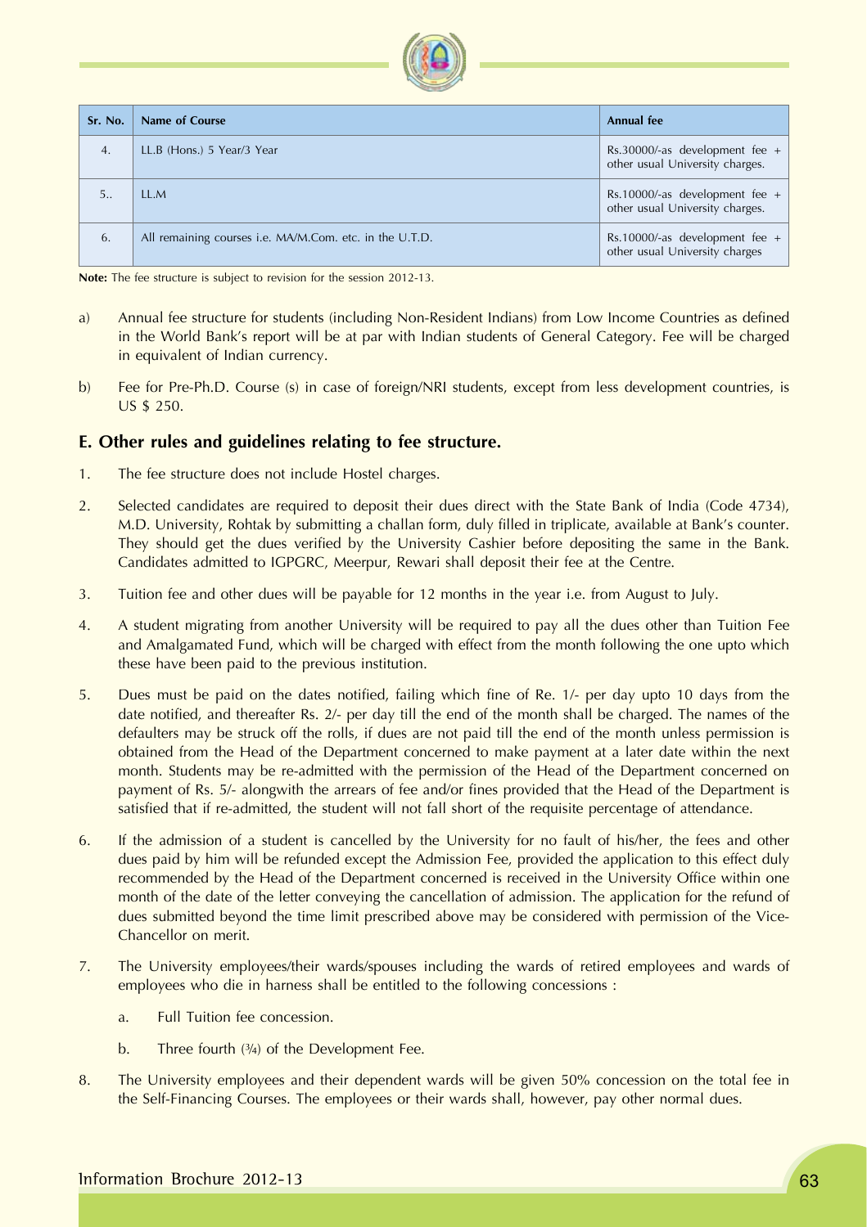| Sr. No.        | Name of Course                                          | <b>Annual fee</b>                                                   |
|----------------|---------------------------------------------------------|---------------------------------------------------------------------|
| 4.             | LL.B (Hons.) 5 Year/3 Year                              | Rs.30000/-as development fee $+$<br>other usual University charges. |
| 5 <sub>1</sub> | LLM                                                     | Rs.10000/-as development fee $+$<br>other usual University charges. |
| 6.             | All remaining courses i.e. MA/M.Com. etc. in the U.T.D. | Rs.10000/-as development fee +<br>other usual University charges    |

**Note:** The fee structure is subject to revision for the session 2012-13.

- a) Annual fee structure for students (including Non-Resident Indians) from Low Income Countries as defined in the World Bank's report will be at par with Indian students of General Category. Fee will be charged in equivalent of Indian currency.
- b) Fee for Pre-Ph.D. Course (s) in case of foreign/NRI students, except from less development countries, is US \$ 250.

#### **E. Other rules and guidelines relating to fee structure.**

- 1. The fee structure does not include Hostel charges.
- 2. Selected candidates are required to deposit their dues direct with the State Bank of India (Code 4734), M.D. University, Rohtak by submitting a challan form, duly filled in triplicate, available at Bank's counter. They should get the dues verified by the University Cashier before depositing the same in the Bank. Candidates admitted to IGPGRC, Meerpur, Rewari shall deposit their fee at the Centre.
- 3. Tuition fee and other dues will be payable for 12 months in the year i.e. from August to July.
- 4. A student migrating from another University will be required to pay all the dues other than Tuition Fee and Amalgamated Fund, which will be charged with effect from the month following the one upto which these have been paid to the previous institution.
- 5. Dues must be paid on the dates notified, failing which fine of Re. 1/- per day upto 10 days from the date notified, and thereafter Rs. 2/- per day till the end of the month shall be charged. The names of the defaulters may be struck off the rolls, if dues are not paid till the end of the month unless permission is obtained from the Head of the Department concerned to make payment at a later date within the next month. Students may be re-admitted with the permission of the Head of the Department concerned on payment of Rs. 5/- alongwith the arrears of fee and/or fines provided that the Head of the Department is satisfied that if re-admitted, the student will not fall short of the requisite percentage of attendance.
- 6. If the admission of a student is cancelled by the University for no fault of his/her, the fees and other dues paid by him will be refunded except the Admission Fee, provided the application to this effect duly recommended by the Head of the Department concerned is received in the University Office within one month of the date of the letter conveying the cancellation of admission. The application for the refund of dues submitted beyond the time limit prescribed above may be considered with permission of the Vice-Chancellor on merit.
- 7. The University employees/their wards/spouses including the wards of retired employees and wards of employees who die in harness shall be entitled to the following concessions :
	- a. Full Tuition fee concession.
	- b. Three fourth  $(3/4)$  of the Development Fee.
- 8. The University employees and their dependent wards will be given 50% concession on the total fee in the Self-Financing Courses. The employees or their wards shall, however, pay other normal dues.